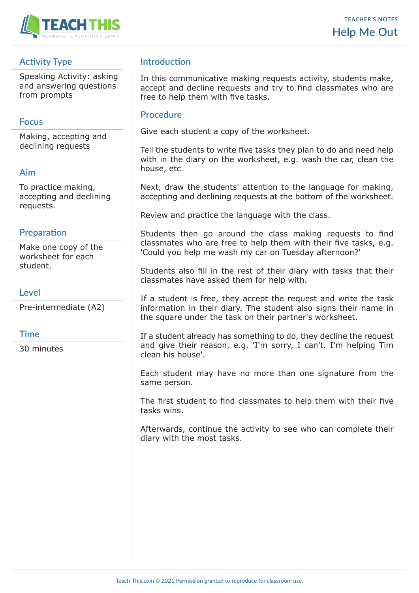

# **Activity Type**

Speaking Activity: asking and answering questions from prompts

## **Focus**

Making, accepting and declining requests

## **Aim**

To practice making, accepting and declining requests.

# **Preparation**

Make one copy of the worksheet for each student.

### **Level**

Pre-intermediate (A2)

### **Time**

30 minutes

# **Introduction**

In this communicative making requests activity, students make, accept and decline requests and try to find classmates who are free to help them with five tasks.

### **Procedure**

Give each student a copy of the worksheet.

Tell the students to write five tasks they plan to do and need help with in the diary on the worksheet, e.g. wash the car, clean the house, etc.

Next, draw the students' attention to the language for making, accepting and declining requests at the bottom of the worksheet.

Review and practice the language with the class.

Students then go around the class making requests to find classmates who are free to help them with their five tasks, e.g. 'Could you help me wash my car on Tuesday afternoon?'

Students also fill in the rest of their diary with tasks that their classmates have asked them for help with.

If a student is free, they accept the request and write the task information in their diary. The student also signs their name in the square under the task on their partner's worksheet.

If a student already has something to do, they decline the request and give their reason, e.g. 'I'm sorry, I can't. I'm helping Tim clean his house'.

Each student may have no more than one signature from the same person.

The first student to find classmates to help them with their five tasks wins.

Afterwards, continue the activity to see who can complete their diary with the most tasks.